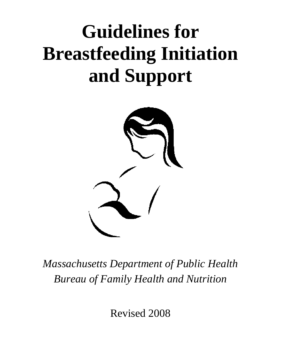# **Guidelines for Breastfeeding Initiation and Support**



*Massachusetts Department of Public Health Bureau of Family Health and Nutrition* 

Revised 2008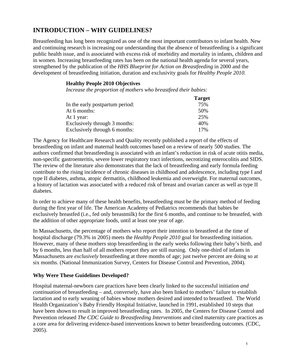## **INTRODUCTION – WHY GUIDELINES?**

Breastfeeding has long been recognized as one of the most important contributors to infant health. New and continuing research is increasing our understanding that the absence of breastfeeding is a significant public health issue, and is associated with excess risk of morbidity and mortality in infants, children and in women. Increasing breastfeeding rates has been on the national health agenda for several years, strengthened by the publication of the *HHS Blueprint for Action on Breastfeeding* in 2000 and the development of breastfeeding initiation, duration and exclusivity goals for *Healthy People 2010.*

#### **Healthy People 2010 Objectives**

*Increase the proportion of mothers who breastfeed their babies:* 

|                                 | <b>Target</b> |
|---------------------------------|---------------|
| In the early postpartum period: | 75%           |
| At 6 months:                    | 50%           |
| At 1 year:                      | 25%           |
| Exclusively through 3 months:   | 40%           |
| Exclusively through 6 months:   | 17%           |

The Agency for Healthcare Research and Quality recently published a report of the effects of breastfeeding on infant and maternal health outcomes based on a review of nearly 500 studies. The authors confirmed that breastfeeding is associated with an infant's reduction in risk of acute otitis media, non-specific gastroenteritis, severe lower respiratory tract infections, necrotizing enterocolitis and SIDS. The review of the literature also demonstrates that the lack of breastfeeding and early formula feeding contribute to the rising incidence of chronic diseases in childhood and adolescence, including type I and type II diabetes, asthma, atopic dermatitis, childhood leukemia and overweight. For maternal outcomes, a history of lactation was associated with a reduced risk of breast and ovarian cancer as well as type II diabetes.

In order to achieve many of these health benefits, breastfeeding must be the primary method of feeding during the first year of life. The American Academy of Pediatrics recommends that babies be exclusively breastfed (i.e., fed only breastmilk) for the first 6 months, and continue to be breastfed, with the addition of other appropriate foods, until at least one year of age.

In Massachusetts, the percentage of mothers who report their intention to breastfeed at the time of hospital discharge (79.3% in 2005) meets the *Healthy People 2010* goal for breastfeeding initiation. However, many of these mothers stop breastfeeding in the early weeks following their baby's birth, and by 6 months, less than half of all mothers report they are still nursing. Only one-third of infants in Massachusetts are *exclusively* breastfeeding at three months of age; just twelve percent are doing so at six months. (National Immunization Survey, Centers for Disease Control and Prevention, 2004).

#### **Why Were These Guidelines Developed?**

Hospital maternal-newborn care practices have been clearly linked to the successful initiation *and continuation* of breastfeeding – and, conversely, have also been linked to mothers' failure to establish lactation and to early weaning of babies whose mothers desired and intended to breastfeed. The World Health Organization's Baby Friendly Hospital Initiative, launched in 1991, established 10 steps that have been shown to result in improved breastfeeding rates. In 2005, the Centers for Disease Control and Prevention released *The CDC Guide to Breastfeeding Interventions* and cited maternity care practices as a core area for delivering evidence-based interventions known to better breastfeeding outcomes. (CDC, 2005).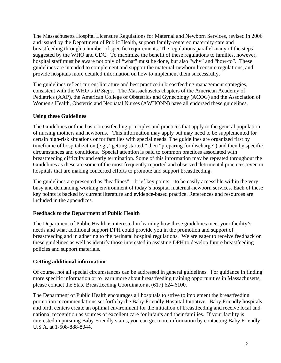The Massachusetts Hospital Licensure Regulations for Maternal and Newborn Services, revised in 2006 and issued by the Department of Public Health, support family-centered maternity care and breastfeeding through a number of specific requirements. The regulations parallel many of the steps suggested by the WHO and CDC. To maximize the benefit of these regulations to families, however, hospital staff must be aware not only of "what" must be done, but also "why" and "how-to". These guidelines are intended to complement and support the maternal-newborn licensure regulations, and provide hospitals more detailed information on how to implement them successfully.

The guidelines reflect current literature and best practice in breastfeeding management strategies, consistent with the WHO's *10 Steps*. The Massachusetts chapters of the American Academy of Pediatrics (AAP), the American College of Obstetrics and Gynecology (ACOG) and the Association of Women's Health, Obstetric and Neonatal Nurses (AWHONN) have all endorsed these guidelines.

#### **Using these Guidelines**

The Guidelines outline basic breastfeeding principles and practices that apply to the general population of nursing mothers and newborns. This information may apply but may need to be supplemented for certain high-risk situations or for families with special needs. The guidelines are organized first by timeframe of hospitalization (e.g., "getting started," then "preparing for discharge") and then by specific circumstances and conditions. Special attention is paid to common practices associated with breastfeeding difficulty and early termination. Some of this information may be repeated throughout the Guidelines as these are some of the most frequently reported and observed detrimental practices, even in hospitals that are making concerted efforts to promote and support breastfeeding.

The guidelines are presented as "headlines" – brief key points – to be easily accessible within the very busy and demanding working environment of today's hospital maternal-newborn services. Each of these key points is backed by current literature and evidence-based practice. References and resources are included in the appendices.

#### **Feedback to the Department of Public Health**

The Department of Public Health is interested in learning how these guidelines meet your facility's needs and what additional support DPH could provide you in the promotion and support of breastfeeding and in adhering to the perinatal hospital regulations. We are eager to receive feedback on these guidelines as well as identify those interested in assisting DPH to develop future breastfeeding policies and support materials.

#### **Getting additional information**

Of course, not all special circumstances can be addressed in general guidelines. For guidance in finding more specific information or to learn more about breastfeeding training opportunities in Massachusetts, please contact the State Breastfeeding Coordinator at (617) 624-6100.

The Department of Public Health encourages all hospitals to strive to implement the breastfeeding promotion recommendations set forth by the Baby Friendly Hospital Initiative. Baby Friendly hospitals and birth centers create an optimal environment for the initiation of breastfeeding and receive local and national recognition as sources of excellent care for infants and their families. If your facility is interested in pursuing Baby Friendly status, you can get more information by contacting Baby Friendly U.S.A. at 1-508-888-8044.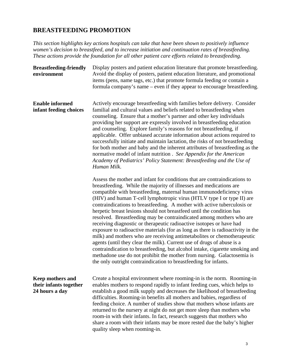### **BREASTFEEDING PROMOTION**

*This section highlights key actions hospitals can take that have been shown to positively influence women's decision to breastfeed, and to increase initiation and continuation rates of breastfeeding. These actions provide the foundation for all other patient care efforts related to breastfeeding.* 

| <b>Breastfeeding-friendly</b><br>environment                 | Display posters and patient education literature that promote breastfeeding.<br>Avoid the display of posters, patient education literature, and promotional<br>items (pens, name tags, etc.) that promote formula feeding or contain a<br>formula company's name – even if they appear to encourage breastfeeding.                                                                                                                                                                                                                                                                                                                                                                                                                                                                                                                                                                                                                                                                                                                                                           |
|--------------------------------------------------------------|------------------------------------------------------------------------------------------------------------------------------------------------------------------------------------------------------------------------------------------------------------------------------------------------------------------------------------------------------------------------------------------------------------------------------------------------------------------------------------------------------------------------------------------------------------------------------------------------------------------------------------------------------------------------------------------------------------------------------------------------------------------------------------------------------------------------------------------------------------------------------------------------------------------------------------------------------------------------------------------------------------------------------------------------------------------------------|
| <b>Enable informed</b><br>infant feeding choices             | Actively encourage breastfeeding with families before delivery. Consider<br>familial and cultural values and beliefs related to breastfeeding when<br>counseling. Ensure that a mother's partner and other key individuals<br>providing her support are expressly involved in breastfeeding education<br>and counseling. Explore family's reasons for not breastfeeding, if<br>applicable. Offer unbiased accurate information about actions required to<br>successfully initiate and maintain lactation, the risks of not breastfeeding<br>for both mother and baby and the inherent attributes of breastfeeding as the<br>normative model of infant nutrition. See Appendix for the American<br>Academy of Pediatrics' Policy Statement: Breastfeeding and the Use of<br>Human Milk.                                                                                                                                                                                                                                                                                       |
|                                                              | Assess the mother and infant for conditions that are contraindications to<br>breastfeeding. While the majority of illnesses and medications are<br>compatible with breastfeeding, maternal human immunodeficiency virus<br>(HIV) and human T-cell lymphotropic virus (HTLV type I or type II) are<br>contraindications to breastfeeding. A mother with active tuberculosis or<br>herpetic breast lesions should not breastfeed until the condition has<br>resolved. Breastfeeding may be contraindicated among mothers who are<br>receiving diagnostic or therapeutic radioactive isotopes or have had<br>exposure to radioactive materials (for as long as there is radioactivity in the<br>milk) and mothers who are receiving antimetabolites or chemotherapeutic<br>agents (until they clear the milk). Current use of drugs of abuse is a<br>contraindication to breastfeeding, but alcohol intake, cigarette smoking and<br>methadone use do not prohibit the mother from nursing. Galactosemia is<br>the only outright contraindication to breastfeeding for infants. |
| Keep mothers and<br>their infants together<br>24 hours a day | Create a hospital environment where rooming-in is the norm. Rooming-in<br>enables mothers to respond rapidly to infant feeding cues, which helps to<br>establish a good milk supply and decreases the likelihood of breastfeeding<br>difficulties. Rooming-in benefits all mothers and babies, regardless of<br>feeding choice. A number of studies show that mothers whose infants are<br>returned to the nursery at night do not get more sleep than mothers who<br>room-in with their infants. In fact, research suggests that mothers who<br>share a room with their infants may be more rested due the baby's higher<br>quality sleep when rooming-in.                                                                                                                                                                                                                                                                                                                                                                                                                  |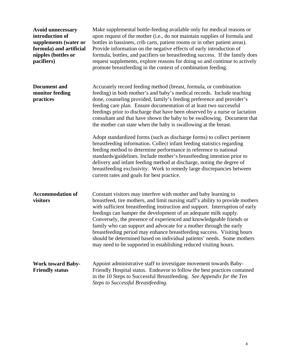| <b>Avoid unnecessary</b><br>introduction of<br>supplements (water or<br>formula) and artificial<br>nipples (bottles or<br>pacifiers) | Make supplemental bottle-feeding available only for medical reasons or<br>upon request of the mother (i.e., do not maintain supplies of formula and<br>bottles in bassinets, crib carts, patient rooms or in other patient areas).<br>Provide information on the negative effects of early introduction of<br>formula, bottles, and pacifiers on breastfeeding success. If the family does<br>request supplements, explore reasons for doing so and continue to actively<br>promote breastfeeding in the context of combination feeding.                                                                                                                                                                                                                                                                                                                                                                                                                                                                                    |
|--------------------------------------------------------------------------------------------------------------------------------------|-----------------------------------------------------------------------------------------------------------------------------------------------------------------------------------------------------------------------------------------------------------------------------------------------------------------------------------------------------------------------------------------------------------------------------------------------------------------------------------------------------------------------------------------------------------------------------------------------------------------------------------------------------------------------------------------------------------------------------------------------------------------------------------------------------------------------------------------------------------------------------------------------------------------------------------------------------------------------------------------------------------------------------|
| <b>Document</b> and<br>monitor feeding<br>practices                                                                                  | Accurately record feeding method (breast, formula, or combination<br>feeding) in both mother's and baby's medical records. Include teaching<br>done, counseling provided, family's feeding preference and provider's<br>feeding care plan. Ensure documentation of at least two successful<br>feedings prior to discharge that have been observed by a nurse or lactation<br>consultant and that have shown the baby to be swallowing. Document that<br>the mother can state when the baby is swallowing at the breast.<br>Adopt standardized forms (such as discharge forms) to collect pertinent<br>breastfeeding information. Collect infant feeding statistics regarding<br>feeding method to determine performance in reference to national<br>standards/guidelines. Include mother's breastfeeding intention prior to<br>delivery and infant feeding method at discharge, noting the degree of<br>breastfeeding exclusivity. Work to remedy large discrepancies between<br>current rates and goals for best practice. |
| <b>Accommodation of</b><br>visitors                                                                                                  | Constant visitors may interfere with mother and baby learning to<br>breastfeed, tire mothers, and limit nursing staff's ability to provide mothers<br>with sufficient breastfeeding instruction and support. Interruption of early<br>feedings can hamper the development of an adequate milk supply.<br>Conversely, the presence of experienced and knowledgeable friends or<br>family who can support and advocate for a mother through the early<br>breastfeeding period may enhance breastfeeding success. Visiting hours<br>should be determined based on individual patients' needs. Some mothers<br>may need to be supported in establishing reduced visiting hours.                                                                                                                                                                                                                                                                                                                                                 |
| <b>Work toward Baby-</b><br><b>Friendly status</b>                                                                                   | Appoint administrative staff to investigate movement towards Baby-<br>Friendly Hospital status. Endeavor to follow the best practices contained<br>in the 10 Steps to Successful Breastfeeding. See Appendix for the Ten<br><b>Steps to Successful Breastfeeding.</b>                                                                                                                                                                                                                                                                                                                                                                                                                                                                                                                                                                                                                                                                                                                                                       |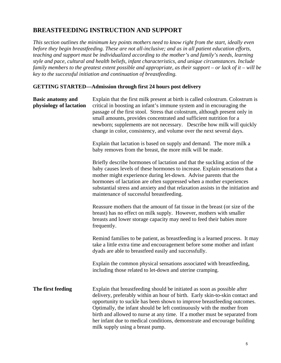## **BREASTFEEDING INSTRUCTION AND SUPPORT**

*This section outlines the minimum key points mothers need to know right from the start, ideally even before they begin breastfeeding. These are not all-inclusive; and as in all patient education efforts, teaching and support must be individualized according to the mother's and family's needs, learning style and pace, cultural and health beliefs, infant characteristics, and unique circumstances. Include family members to the greatest extent possible and appropriate, as their support – or lack of it – will be key to the successful initiation and continuation of breastfeeding.* 

#### **GETTING STARTED—Admission through first 24 hours post delivery**

| <b>Basic anatomy and</b><br>physiology of lactation | Explain that the first milk present at birth is called colostrum. Colostrum is<br>critical in boosting an infant's immune system and in encouraging the<br>passage of the first stool. Stress that colostrum, although present only in<br>small amounts, provides concentrated and sufficient nutrition for a<br>newborn; supplements are not necessary. Describe how milk will quickly<br>change in color, consistency, and volume over the next several days.                                             |
|-----------------------------------------------------|-------------------------------------------------------------------------------------------------------------------------------------------------------------------------------------------------------------------------------------------------------------------------------------------------------------------------------------------------------------------------------------------------------------------------------------------------------------------------------------------------------------|
|                                                     | Explain that lactation is based on supply and demand. The more milk a<br>baby removes from the breast, the more milk will be made.                                                                                                                                                                                                                                                                                                                                                                          |
|                                                     | Briefly describe hormones of lactation and that the suckling action of the<br>baby causes levels of these hormones to increase. Explain sensations that a<br>mother might experience during let-down. Advise parents that the<br>hormones of lactation are often suppressed when a mother experiences<br>substantial stress and anxiety and that relaxation assists in the initiation and<br>maintenance of successful breastfeeding.                                                                       |
|                                                     | Reassure mothers that the amount of fat tissue in the breast (or size of the<br>breast) has no effect on milk supply. However, mothers with smaller<br>breasts and lower storage capacity may need to feed their babies more<br>frequently.                                                                                                                                                                                                                                                                 |
|                                                     | Remind families to be patient, as breastfeeding is a learned process. It may<br>take a little extra time and encouragement before some mother and infant<br>dyads are able to breastfeed easily and successfully.                                                                                                                                                                                                                                                                                           |
|                                                     | Explain the common physical sensations associated with breastfeeding,<br>including those related to let-down and uterine cramping.                                                                                                                                                                                                                                                                                                                                                                          |
| The first feeding                                   | Explain that breastfeeding should be initiated as soon as possible after<br>delivery, preferably within an hour of birth. Early skin-to-skin contact and<br>opportunity to suckle has been shown to improve breastfeeding outcomes.<br>Optimally, the infant should be left continuously with the mother from<br>birth and allowed to nurse at any time. If a mother must be separated from<br>her infant due to medical conditions, demonstrate and encourage building<br>milk supply using a breast pump. |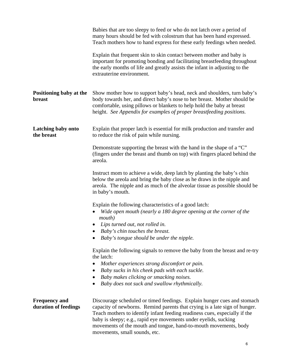| important for promoting bonding and facilitating breastfeeding throughout<br>the early months of life and greatly assists the infant in adjusting to the<br>extrauterine environment.<br>Positioning baby at the<br>Show mother how to support baby's head, neck and shoulders, turn baby's<br>body towards her, and direct baby's nose to her breast. Mother should be<br>breast<br>comfortable, using pillows or blankets to help hold the baby at breast<br>height. See Appendix for examples of proper breastfeeding positions.<br>Latching baby onto<br>Explain that proper latch is essential for milk production and transfer and<br>the breast<br>to reduce the risk of pain while nursing.<br>Demonstrate supporting the breast with the hand in the shape of a "C"<br>(fingers under the breast and thumb on top) with fingers placed behind the<br>areola.<br>Instruct mom to achieve a wide, deep latch by planting the baby's chin<br>below the areola and bring the baby close as he draws in the nipple and<br>areola. The nipple and as much of the alveolar tissue as possible should be<br>in baby's mouth.<br>Explain the following characteristics of a good latch: | Teach mothers how to hand express for these early feedings when needed. |
|-----------------------------------------------------------------------------------------------------------------------------------------------------------------------------------------------------------------------------------------------------------------------------------------------------------------------------------------------------------------------------------------------------------------------------------------------------------------------------------------------------------------------------------------------------------------------------------------------------------------------------------------------------------------------------------------------------------------------------------------------------------------------------------------------------------------------------------------------------------------------------------------------------------------------------------------------------------------------------------------------------------------------------------------------------------------------------------------------------------------------------------------------------------------------------------------|-------------------------------------------------------------------------|
|                                                                                                                                                                                                                                                                                                                                                                                                                                                                                                                                                                                                                                                                                                                                                                                                                                                                                                                                                                                                                                                                                                                                                                                         |                                                                         |
|                                                                                                                                                                                                                                                                                                                                                                                                                                                                                                                                                                                                                                                                                                                                                                                                                                                                                                                                                                                                                                                                                                                                                                                         |                                                                         |
|                                                                                                                                                                                                                                                                                                                                                                                                                                                                                                                                                                                                                                                                                                                                                                                                                                                                                                                                                                                                                                                                                                                                                                                         |                                                                         |
|                                                                                                                                                                                                                                                                                                                                                                                                                                                                                                                                                                                                                                                                                                                                                                                                                                                                                                                                                                                                                                                                                                                                                                                         |                                                                         |
|                                                                                                                                                                                                                                                                                                                                                                                                                                                                                                                                                                                                                                                                                                                                                                                                                                                                                                                                                                                                                                                                                                                                                                                         |                                                                         |
| Wide open mouth (nearly a 180 degree opening at the corner of the<br>mouth)                                                                                                                                                                                                                                                                                                                                                                                                                                                                                                                                                                                                                                                                                                                                                                                                                                                                                                                                                                                                                                                                                                             |                                                                         |
| Lips turned out, not rolled in.                                                                                                                                                                                                                                                                                                                                                                                                                                                                                                                                                                                                                                                                                                                                                                                                                                                                                                                                                                                                                                                                                                                                                         |                                                                         |
| Baby's chin touches the breast.                                                                                                                                                                                                                                                                                                                                                                                                                                                                                                                                                                                                                                                                                                                                                                                                                                                                                                                                                                                                                                                                                                                                                         |                                                                         |
| Baby's tongue should be under the nipple.                                                                                                                                                                                                                                                                                                                                                                                                                                                                                                                                                                                                                                                                                                                                                                                                                                                                                                                                                                                                                                                                                                                                               |                                                                         |
| Explain the following signals to remove the baby from the breast and re-try<br>the latch:                                                                                                                                                                                                                                                                                                                                                                                                                                                                                                                                                                                                                                                                                                                                                                                                                                                                                                                                                                                                                                                                                               |                                                                         |
| Mother experiences strong discomfort or pain.<br>$\bullet$                                                                                                                                                                                                                                                                                                                                                                                                                                                                                                                                                                                                                                                                                                                                                                                                                                                                                                                                                                                                                                                                                                                              |                                                                         |
| Baby sucks in his cheek pads with each suckle.<br>$\bullet$<br>Baby makes clicking or smacking noises.<br>$\bullet$                                                                                                                                                                                                                                                                                                                                                                                                                                                                                                                                                                                                                                                                                                                                                                                                                                                                                                                                                                                                                                                                     |                                                                         |
| Baby does not suck and swallow rhythmically.                                                                                                                                                                                                                                                                                                                                                                                                                                                                                                                                                                                                                                                                                                                                                                                                                                                                                                                                                                                                                                                                                                                                            |                                                                         |
|                                                                                                                                                                                                                                                                                                                                                                                                                                                                                                                                                                                                                                                                                                                                                                                                                                                                                                                                                                                                                                                                                                                                                                                         |                                                                         |
| Discourage scheduled or timed feedings. Explain hunger cues and stomach<br><b>Frequency and</b><br>duration of feedings<br>capacity of newborns. Remind parents that crying is a late sign of hunger.<br>Teach mothers to identify infant feeding readiness cues, especially if the<br>baby is sleepy; e.g., rapid eye movements under eyelids, sucking<br>movements of the mouth and tongue, hand-to-mouth movements, body<br>movements, small sounds, etc.                                                                                                                                                                                                                                                                                                                                                                                                                                                                                                                                                                                                                                                                                                                            |                                                                         |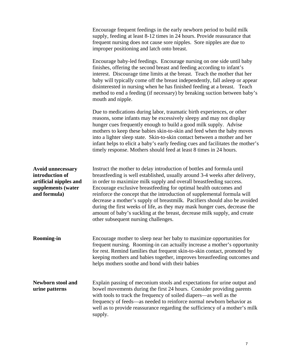|                                                                                                             | Encourage frequent feedings in the early newborn period to build milk<br>supply, feeding at least 8-12 times in 24 hours. Provide reassurance that<br>frequent nursing does not cause sore nipples. Sore nipples are due to<br>improper positioning and latch onto breast.                                                                                                                                                                                                                                                                                                                                                                                     |
|-------------------------------------------------------------------------------------------------------------|----------------------------------------------------------------------------------------------------------------------------------------------------------------------------------------------------------------------------------------------------------------------------------------------------------------------------------------------------------------------------------------------------------------------------------------------------------------------------------------------------------------------------------------------------------------------------------------------------------------------------------------------------------------|
|                                                                                                             | Encourage baby-led feedings. Encourage nursing on one side until baby<br>finishes, offering the second breast and feeding according to infant's<br>interest. Discourage time limits at the breast. Teach the mother that her<br>baby will typically come off the breast independently, fall asleep or appear<br>disinterested in nursing when he has finished feeding at a breast. Teach<br>method to end a feeding (if necessary) by breaking suction between baby's<br>mouth and nipple.                                                                                                                                                                     |
|                                                                                                             | Due to medications during labor, traumatic birth experiences, or other<br>reasons, some infants may be excessively sleepy and may not display<br>hunger cues frequently enough to build a good milk supply. Advise<br>mothers to keep these babies skin-to-skin and feed when the baby moves<br>into a lighter sleep state. Skin-to-skin contact between a mother and her<br>infant helps to elicit a baby's early feeding cues and facilitates the mother's<br>timely response. Mothers should feed at least 8 times in 24 hours.                                                                                                                             |
| <b>Avoid unnecessary</b><br>introduction of<br>artificial nipples and<br>supplements (water<br>and formula) | Instruct the mother to delay introduction of bottles and formula until<br>breastfeeding is well established, usually around 3-4 weeks after delivery,<br>in order to maximize milk supply and overall breastfeeding success.<br>Encourage exclusive breastfeeding for optimal health outcomes and<br>reinforce the concept that the introduction of supplemental formula will<br>decrease a mother's supply of breastmilk. Pacifiers should also be avoided<br>during the first weeks of life, as they may mask hunger cues, decrease the<br>amount of baby's suckling at the breast, decrease milk supply, and create<br>other subsequent nursing challenges. |
| <b>Rooming-in</b>                                                                                           | Encourage mother to sleep near her baby to maximize opportunities for<br>frequent nursing. Rooming-in can actually increase a mother's opportunity<br>for rest. Remind families that frequent skin-to-skin contact, promoted by<br>keeping mothers and babies together, improves breastfeeding outcomes and<br>helps mothers soothe and bond with their babies                                                                                                                                                                                                                                                                                                 |
| <b>Newborn stool and</b><br>urine patterns                                                                  | Explain passing of meconium stools and expectations for urine output and<br>bowel movements during the first 24 hours. Consider providing parents<br>with tools to track the frequency of soiled diapers—as well as the<br>frequency of feeds-as needed to reinforce normal newborn behavior as<br>well as to provide reassurance regarding the sufficiency of a mother's milk<br>supply.                                                                                                                                                                                                                                                                      |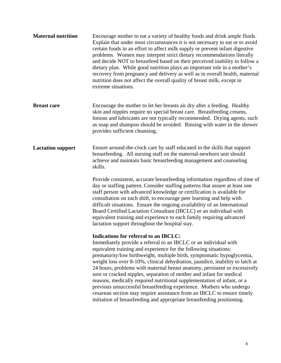| <b>Maternal nutrition</b> | Encourage mother to eat a variety of healthy foods and drink ample fluids.<br>Explain that under most circumstances it is not necessary to eat or to avoid<br>certain foods in an effort to affect milk supply or prevent infant digestive<br>problems. Women may interpret strict dietary recommendations literally<br>and decide NOT to breastfeed based on their perceived inability to follow a<br>dietary plan. While good nutrition plays an important role in a mother's<br>recovery from pregnancy and delivery as well as in overall health, maternal<br>nutrition does not affect the overall quality of breast milk, except in<br>extreme situations.                                                                                                                                     |
|---------------------------|------------------------------------------------------------------------------------------------------------------------------------------------------------------------------------------------------------------------------------------------------------------------------------------------------------------------------------------------------------------------------------------------------------------------------------------------------------------------------------------------------------------------------------------------------------------------------------------------------------------------------------------------------------------------------------------------------------------------------------------------------------------------------------------------------|
| <b>Breast care</b>        | Encourage the mother to let her breasts air dry after a feeding. Healthy<br>skin and nipples require no special breast care. Breastfeeding creams,<br>lotions and lubricants are not typically recommended. Drying agents, such<br>as soap and shampoo should be avoided. Rinsing with water in the shower<br>provides sufficient cleansing.                                                                                                                                                                                                                                                                                                                                                                                                                                                         |
| <b>Lactation support</b>  | Ensure around-the-clock care by staff educated in the skills that support<br>breastfeeding. All nursing staff on the maternal-newborn unit should<br>achieve and maintain basic breastfeeding management and counseling<br>skills.                                                                                                                                                                                                                                                                                                                                                                                                                                                                                                                                                                   |
|                           | Provide consistent, accurate breastfeeding information regardless of time of<br>day or staffing pattern. Consider staffing patterns that assure at least one<br>staff person with advanced knowledge or certification is available for<br>consultation on each shift, to encourage peer learning and help with<br>difficult situations. Ensure the ongoing availability of an International<br>Board Certified Lactation Consultant (IBCLC) or an individual with<br>equivalent training and experience to each family requiring advanced<br>lactation support throughout the hospital stay.                                                                                                                                                                                                         |
|                           | Indications for referral to an IBCLC:<br>Immediately provide a referral to an IBCLC or an individual with<br>equivalent training and experience for the following situations:<br>prematurity/low birthweight, multiple birth, symptomatic hypoglycemia,<br>weight loss over 8-10%, clinical dehydration, jaundice, inability to latch at<br>24 hours, problems with maternal breast anatomy, persistent or excessively<br>sore or cracked nipples, separation of mother and infant for medical<br>reasons, medically required nutritional supplementation of infant, or a<br>previous unsuccessful breastfeeding experience. Mothers who undergo<br>cesarean section may require assistance from an IBCLC to ensure timely<br>initiation of breastfeeding and appropriate breastfeeding positioning. |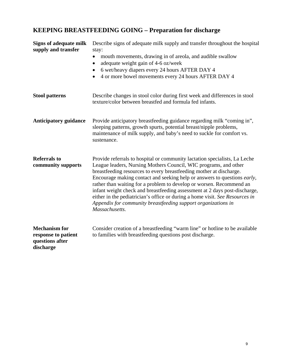# **KEEPING BREASTFEEDING GOING – Preparation for discharge**

| <b>Signs of adequate milk</b><br>supply and transfer                        | Describe signs of adequate milk supply and transfer throughout the hospital<br>stay:<br>mouth movements, drawing in of areola, and audible swallow<br>$\bullet$<br>adequate weight gain of 4-6 oz/week<br>$\bullet$<br>6 wet/heavy diapers every 24 hours AFTER DAY 4<br>٠<br>4 or more bowel movements every 24 hours AFTER DAY 4<br>$\bullet$                                                                                                                                                                                                                                                                                    |
|-----------------------------------------------------------------------------|------------------------------------------------------------------------------------------------------------------------------------------------------------------------------------------------------------------------------------------------------------------------------------------------------------------------------------------------------------------------------------------------------------------------------------------------------------------------------------------------------------------------------------------------------------------------------------------------------------------------------------|
| <b>Stool patterns</b>                                                       | Describe changes in stool color during first week and differences in stool<br>texture/color between breastfed and formula fed infants.                                                                                                                                                                                                                                                                                                                                                                                                                                                                                             |
| <b>Anticipatory guidance</b>                                                | Provide anticipatory breastfeeding guidance regarding milk "coming in",<br>sleeping patterns, growth spurts, potential breast/nipple problems,<br>maintenance of milk supply, and baby's need to suckle for comfort vs.<br>sustenance.                                                                                                                                                                                                                                                                                                                                                                                             |
| <b>Referrals to</b><br>community supports                                   | Provide referrals to hospital or community lactation specialists, La Leche<br>League leaders, Nursing Mothers Council, WIC programs, and other<br>breastfeeding resources to every breastfeeding mother at discharge.<br>Encourage making contact and seeking help or answers to questions <i>early</i> ,<br>rather than waiting for a problem to develop or worsen. Recommend an<br>infant weight check and breastfeeding assessment at 2 days post-discharge,<br>either in the pediatrician's office or during a home visit. See Resources in<br>Appendix for community breastfeeding support organizations in<br>Massachusetts. |
| <b>Mechanism for</b><br>response to patient<br>questions after<br>discharge | Consider creation of a breastfeeding "warm line" or hotline to be available<br>to families with breastfeeding questions post discharge.                                                                                                                                                                                                                                                                                                                                                                                                                                                                                            |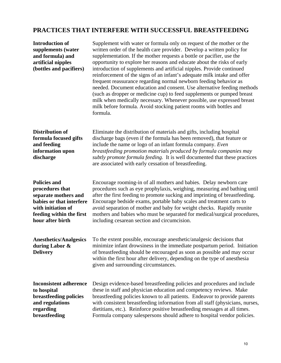## **PRACTICES THAT INTERFERE WITH SUCCESSFUL BREASTFEEDING**

| <b>Introduction of</b><br>supplements (water<br>and formula) and<br>artificial nipples<br>(bottles and pacifiers)                                                | Supplement with water or formula only on request of the mother or the<br>written order of the health care provider. Develop a written policy for<br>supplementation. If the mother requests a bottle or pacifier, use the<br>opportunity to explore her reasons and educate about the risks of early<br>introduction of supplements and artificial nipples. Provide continued<br>reinforcement of the signs of an infant's adequate milk intake and offer<br>frequent reassurance regarding normal newborn feeding behavior as<br>needed. Document education and consent. Use alternative feeding methods<br>(such as dropper or medicine cup) to feed supplements or pumped breast<br>milk when medically necessary. Whenever possible, use expressed breast<br>milk before formula. Avoid stocking patient rooms with bottles and<br>formula. |
|------------------------------------------------------------------------------------------------------------------------------------------------------------------|-------------------------------------------------------------------------------------------------------------------------------------------------------------------------------------------------------------------------------------------------------------------------------------------------------------------------------------------------------------------------------------------------------------------------------------------------------------------------------------------------------------------------------------------------------------------------------------------------------------------------------------------------------------------------------------------------------------------------------------------------------------------------------------------------------------------------------------------------|
| <b>Distribution of</b><br>formula focused gifts<br>and feeding<br>information upon<br>discharge                                                                  | Eliminate the distribution of materials and gifts, including hospital<br>discharge bags (even if the formula has been removed), that feature or<br>include the name or logo of an infant formula company. Even<br>breastfeeding promotion materials produced by formula companies may<br>subtly promote formula feeding. It is well documented that these practices<br>are associated with early cessation of breastfeeding.                                                                                                                                                                                                                                                                                                                                                                                                                    |
| <b>Policies and</b><br>procedures that<br>separate mothers and<br>babies or that interfere<br>with initiation of<br>feeding within the first<br>hour after birth | Encourage rooming-in of all mothers and babies. Delay newborn care<br>procedures such as eye prophylaxis, weighing, measuring and bathing until<br>after the first feeding to promote sucking and imprinting of breastfeeding.<br>Encourage bedside exams, portable baby scales and treatment carts to<br>avoid separation of mother and baby for weight checks. Rapidly reunite<br>mothers and babies who must be separated for medical/surgical procedures,<br>including cesarean section and circumcision.                                                                                                                                                                                                                                                                                                                                   |
| <b>Anesthetics/Analgesics</b><br>during Labor $\&$<br><b>Delivery</b>                                                                                            | To the extent possible, encourage anesthetic/analgesic decisions that<br>minimize infant drowsiness in the immediate postpartum period. Initiation<br>of breastfeeding should be encouraged as soon as possible and may occur<br>within the first hour after delivery, depending on the type of anesthesia<br>given and surrounding circumstances.                                                                                                                                                                                                                                                                                                                                                                                                                                                                                              |
| <b>Inconsistent adherence</b><br>to hospital<br>breastfeeding policies<br>and regulations<br>regarding<br>breastfeeding                                          | Design evidence-based breastfeeding policies and procedures and include<br>these in staff and physician education and competency reviews. Make<br>breastfeeding policies known to all patients. Endeavor to provide parents<br>with consistent breastfeeding information from all staff (physicians, nurses,<br>dietitians, etc.). Reinforce positive breastfeeding messages at all times.<br>Formula company salespersons should adhere to hospital vendor policies.                                                                                                                                                                                                                                                                                                                                                                           |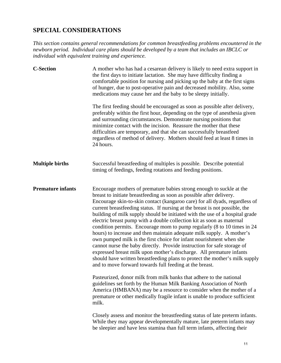## **SPECIAL CONSIDERATIONS**

*This section contains general recommendations for common breastfeeding problems encountered in the newborn period. Individual care plans should be developed by a team that includes an IBCLC or individual with equivalent training and experience.* 

| <b>C-Section</b>         | A mother who has had a cesarean delivery is likely to need extra support in<br>the first days to initiate lactation. She may have difficulty finding a<br>comfortable position for nursing and picking up the baby at the first signs<br>of hunger, due to post-operative pain and decreased mobility. Also, some<br>medications may cause her and the baby to be sleepy initially.<br>The first feeding should be encouraged as soon as possible after delivery,<br>preferably within the first hour, depending on the type of anesthesia given<br>and surrounding circumstances. Demonstrate nursing positions that<br>minimize contact with the incision. Reassure the mother that these<br>difficulties are temporary, and that she can successfully breastfeed<br>regardless of method of delivery. Mothers should feed at least 8 times in                                                                                                                                            |
|--------------------------|---------------------------------------------------------------------------------------------------------------------------------------------------------------------------------------------------------------------------------------------------------------------------------------------------------------------------------------------------------------------------------------------------------------------------------------------------------------------------------------------------------------------------------------------------------------------------------------------------------------------------------------------------------------------------------------------------------------------------------------------------------------------------------------------------------------------------------------------------------------------------------------------------------------------------------------------------------------------------------------------|
|                          | 24 hours.                                                                                                                                                                                                                                                                                                                                                                                                                                                                                                                                                                                                                                                                                                                                                                                                                                                                                                                                                                                   |
| <b>Multiple births</b>   | Successful breastfeeding of multiples is possible. Describe potential<br>timing of feedings, feeding rotations and feeding positions.                                                                                                                                                                                                                                                                                                                                                                                                                                                                                                                                                                                                                                                                                                                                                                                                                                                       |
| <b>Premature infants</b> | Encourage mothers of premature babies strong enough to suckle at the<br>breast to initiate breastfeeding as soon as possible after delivery.<br>Encourage skin-to-skin contact (kangaroo care) for all dyads, regardless of<br>current breastfeeding status. If nursing at the breast is not possible, the<br>building of milk supply should be initiated with the use of a hospital grade<br>electric breast pump with a double collection kit as soon as maternal<br>condition permits. Encourage mom to pump regularly (8 to 10 times in 24<br>hours) to increase and then maintain adequate milk supply. A mother's<br>own pumped milk is the first choice for infant nourishment when she<br>cannot nurse the baby directly. Provide instruction for safe storage of<br>expressed breast milk upon mother's discharge. All premature infants<br>should have written breastfeeding plans to protect the mother's milk supply<br>and to move forward towards full feeding at the breast. |
|                          | Pasteurized, donor milk from milk banks that adhere to the national<br>guidelines set forth by the Human Milk Banking Association of North<br>America (HMBANA) may be a resource to consider when the mother of a<br>premature or other medically fragile infant is unable to produce sufficient<br>milk.                                                                                                                                                                                                                                                                                                                                                                                                                                                                                                                                                                                                                                                                                   |
|                          | Closely assess and monitor the breastfeeding status of late preterm infants.<br>While they may appear developmentally mature, late preterm infants may<br>be sleepier and have less stamina than full term infants, affecting their                                                                                                                                                                                                                                                                                                                                                                                                                                                                                                                                                                                                                                                                                                                                                         |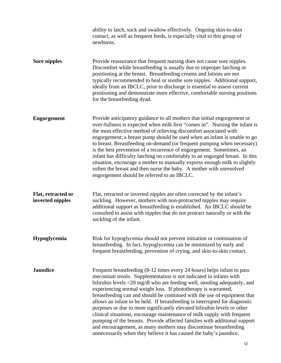|                                        | ability to latch, suck and swallow effectively. Ongoing skin-to-skin<br>contact, as well as frequent feeds, is especially vital to this group of<br>newborns.                                                                                                                                                                                                                                                                                                                                                                                                                                                                                                                                                                                                                                                                        |
|----------------------------------------|--------------------------------------------------------------------------------------------------------------------------------------------------------------------------------------------------------------------------------------------------------------------------------------------------------------------------------------------------------------------------------------------------------------------------------------------------------------------------------------------------------------------------------------------------------------------------------------------------------------------------------------------------------------------------------------------------------------------------------------------------------------------------------------------------------------------------------------|
| Sore nipples                           | Provide reassurance that frequent nursing does not cause sore nipples.<br>Discomfort while breastfeeding is usually due to improper latching or<br>positioning at the breast. Breastfeeding creams and lotions are not<br>typically recommended to heal or soothe sore nipples. Additional support,<br>ideally from an IBCLC, prior to discharge is essential to assess current<br>positioning and demonstrate more effective, comfortable nursing positions<br>for the breastfeeding dyad.                                                                                                                                                                                                                                                                                                                                          |
| <b>Engorgement</b>                     | Provide anticipatory guidance to all mothers that initial engorgement or<br>over-fullness is expected when milk first "comes in". Nursing the infant is<br>the most effective method of relieving discomfort associated with<br>engorgement; a breast pump should be used when an infant is unable to go<br>to breast. Breastfeeding on-demand (or frequent pumping when necessary)<br>is the best prevention of a recurrence of engorgement. Sometimes, an<br>infant has difficulty latching on comfortably to an engorged breast. In this<br>situation, encourage a mother to manually express enough milk to slightly<br>soften the breast and then nurse the baby. A mother with unresolved<br>engorgement should be referred to an IBCLC.                                                                                       |
| Flat, retracted or<br>inverted nipples | Flat, retracted or inverted nipples are often corrected by the infant's<br>suckling. However, mothers with non-protracted nipples may require<br>additional support as breastfeeding is established. An IBCLC should be<br>consulted to assist with nipples that do not protract naturally or with the<br>suckling of the infant.                                                                                                                                                                                                                                                                                                                                                                                                                                                                                                    |
| Hypoglycemia                           | Risk for hypoglycemia should not prevent initiation or continuation of<br>breastfeeding. In fact, hypoglycemia can be minimized by early and<br>frequent breastfeeding, prevention of crying, and skin-to-skin contact.                                                                                                                                                                                                                                                                                                                                                                                                                                                                                                                                                                                                              |
| <b>Jaundice</b>                        | Frequent breastfeeding (8-12 times every 24 hours) helps infant to pass<br>meconium stools. Supplementation is not indicated in infants with<br>bilirubin levels <20 mg/dl who are feeding well, stooling adequately, and<br>experiencing normal weight loss. If phototherapy is warranted,<br>breastfeeding can and should be continued with the use of equipment that<br>allows an infant to be held. If breastfeeding is interrupted for diagnostic<br>purposes or due to more significantly elevated bilirubin levels or other<br>clinical situations, encourage maintenance of milk supply with frequent<br>pumping of the breasts. Provide affected families with additional support<br>and encouragement, as many mothers may discontinue breastfeeding<br>unnecessarily when they believe it has caused the baby's jaundice. |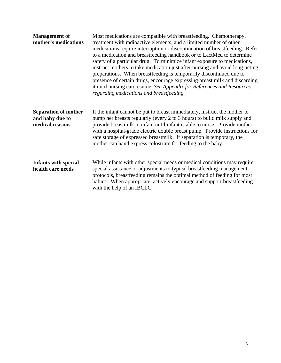| <b>Management of</b><br>mother's medications                      | Most medications are compatible with breastfeeding. Chemotherapy,<br>treatment with radioactive elements, and a limited number of other<br>medications require interruption or discontinuation of breastfeeding. Refer<br>to a medication and breastfeeding handbook or to LactMed to determine<br>safety of a particular drug. To minimize infant exposure to medications,<br>instruct mothers to take medication just after nursing and avoid long-acting<br>preparations. When breastfeeding is temporarily discontinued due to<br>presence of certain drugs, encourage expressing breast milk and discarding<br>it until nursing can resume. See Appendix for References and Resources<br>regarding medications and breastfeeding. |
|-------------------------------------------------------------------|----------------------------------------------------------------------------------------------------------------------------------------------------------------------------------------------------------------------------------------------------------------------------------------------------------------------------------------------------------------------------------------------------------------------------------------------------------------------------------------------------------------------------------------------------------------------------------------------------------------------------------------------------------------------------------------------------------------------------------------|
| <b>Separation of mother</b><br>and baby due to<br>medical reasons | If the infant cannot be put to breast immediately, instruct the mother to<br>pump her breasts regularly (every 2 to 3 hours) to build milk supply and<br>provide breastmilk to infant until infant is able to nurse. Provide mother<br>with a hospital-grade electric double breast pump. Provide instructions for<br>safe storage of expressed breastmilk. If separation is temporary, the<br>mother can hand express colostrum for feeding to the baby.                                                                                                                                                                                                                                                                              |
| <b>Infants with special</b><br>health care needs                  | While infants with other special needs or medical conditions may require<br>special assistance or adjustments to typical breastfeeding management<br>protocols, breastfeeding remains the optimal method of feeding for most<br>babies. When appropriate, actively encourage and support breastfeeding<br>with the help of an IBCLC.                                                                                                                                                                                                                                                                                                                                                                                                   |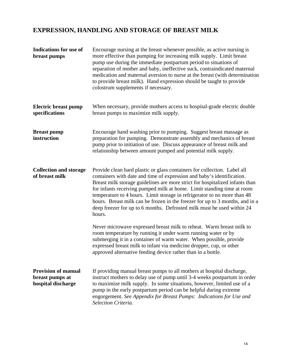## **EXPRESSION, HANDLING AND STORAGE OF BREAST MILK**

| <b>Indications for use of</b><br>breast pumps                       | Encourage nursing at the breast whenever possible, as active nursing is<br>more effective than pumping for increasing milk supply. Limit breast<br>pump use during the immediate postpartum period to situations of<br>separation of mother and baby, ineffective suck, contraindicated maternal<br>medication and maternal aversion to nurse at the breast (with determination<br>to provide breast milk). Hand expression should be taught to provide<br>colostrum supplements if necessary.                                                               |
|---------------------------------------------------------------------|--------------------------------------------------------------------------------------------------------------------------------------------------------------------------------------------------------------------------------------------------------------------------------------------------------------------------------------------------------------------------------------------------------------------------------------------------------------------------------------------------------------------------------------------------------------|
| <b>Electric breast pump</b><br>specifications                       | When necessary, provide mothers access to hospital-grade electric double<br>breast pumps to maximize milk supply.                                                                                                                                                                                                                                                                                                                                                                                                                                            |
| <b>Breast pump</b><br>instruction                                   | Encourage hand washing prior to pumping. Suggest breast massage as<br>preparation for pumping. Demonstrate assembly and mechanics of breast<br>pump prior to initiation of use. Discuss appearance of breast milk and<br>relationship between amount pumped and potential milk supply.                                                                                                                                                                                                                                                                       |
| <b>Collection and storage</b><br>of breast milk                     | Provide clean hard plastic or glass containers for collection. Label all<br>containers with date and time of expression and baby's identification.<br>Breast milk storage guidelines are more strict for hospitalized infants than<br>for infants receiving pumped milk at home. Limit standing time at room<br>temperature to 4 hours. Limit storage in refrigerator to no more than 48<br>hours. Breast milk can be frozen in the freezer for up to 3 months, and in a<br>deep freezer for up to 6 months. Defrosted milk must be used within 24<br>hours. |
|                                                                     | Never microwave expressed breast milk to reheat. Warm breast milk to<br>room temperature by running it under warm running water or by<br>submerging it in a container of warm water. When possible, provide<br>expressed breast milk to infant via medicine dropper, cup, or other<br>approved alternative feeding device rather than in a bottle.                                                                                                                                                                                                           |
| <b>Provision of manual</b><br>breast pumps at<br>hospital discharge | If providing manual breast pumps to all mothers at hospital discharge,<br>instruct mothers to delay use of pump until 3-4 weeks postpartum in order<br>to maximize milk supply. In some situations, however, limited use of a<br>pump in the early postpartum period can be helpful during extreme<br>engorgement. See Appendix for Breast Pumps: Indications for Use and<br>Selection Criteria.                                                                                                                                                             |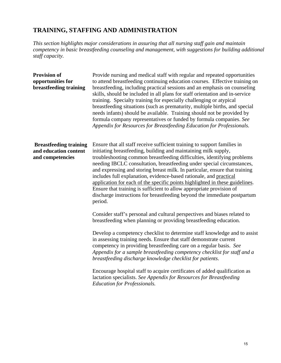## **TRAINING, STAFFING AND ADMINISTRATION**

*This section highlights major considerations in assuring that all nursing staff gain and maintain competency in basic breastfeeding counseling and management, with suggestions for building additional staff capacity.* 

| <b>Provision of</b><br>opportunities for<br>breastfeeding training         | Provide nursing and medical staff with regular and repeated opportunities<br>to attend breastfeeding continuing education courses. Effective training on<br>breastfeeding, including practical sessions and an emphasis on counseling<br>skills, should be included in all plans for staff orientation and in-service<br>training. Specialty training for especially challenging or atypical<br>breastfeeding situations (such as prematurity, multiple births, and special<br>needs infants) should be available. Training should not be provided by<br>formula company representatives or funded by formula companies. See<br>Appendix for Resources for Breastfeeding Education for Professionals. |
|----------------------------------------------------------------------------|-------------------------------------------------------------------------------------------------------------------------------------------------------------------------------------------------------------------------------------------------------------------------------------------------------------------------------------------------------------------------------------------------------------------------------------------------------------------------------------------------------------------------------------------------------------------------------------------------------------------------------------------------------------------------------------------------------|
| <b>Breastfeeding training</b><br>and education content<br>and competencies | Ensure that all staff receive sufficient training to support families in<br>initiating breastfeeding, building and maintaining milk supply,<br>troubleshooting common breastfeeding difficulties, identifying problems<br>needing IBCLC consultation, breastfeeding under special circumstances,<br>and expressing and storing breast milk. In particular, ensure that training<br>includes full explanation, evidence-based rationale, and practical<br>application for each of the specific points highlighted in these guidelines.<br>Ensure that training is sufficient to allow appropriate provision of<br>discharge instructions for breastfeeding beyond the immediate postpartum<br>period.  |
|                                                                            | Consider staff's personal and cultural perspectives and biases related to<br>breastfeeding when planning or providing breastfeeding education.<br>Develop a competency checklist to determine staff knowledge and to assist<br>in assessing training needs. Ensure that staff demonstrate current<br>competency in providing breastfeeding care on a regular basis. See<br>Appendix for a sample breastfeeding competency checklist for staff and a<br>breastfeeding discharge knowledge checklist for patients.<br>Encourage hospital staff to acquire certificates of added qualification as                                                                                                        |
|                                                                            | lactation specialists. See Appendix for Resources for Breastfeeding<br><b>Education for Professionals.</b>                                                                                                                                                                                                                                                                                                                                                                                                                                                                                                                                                                                            |